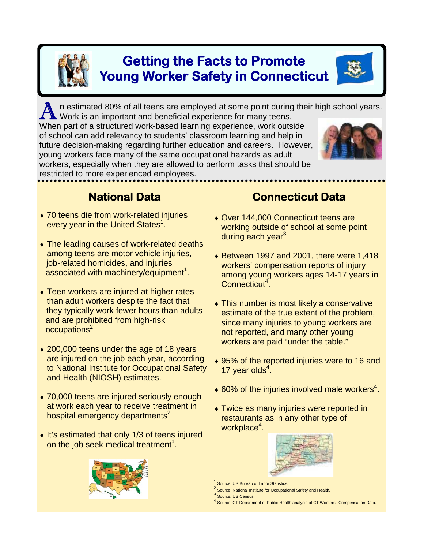

# **Getting the Facts to Promote Young Worker Safety in Connecticut**

n estimated 80% of all teens are employed at some point during their high school years. Work is an important and beneficial experience for many teens.

When part of a structured work-based learning experience, work outside of school can add relevancy to students' classroom learning and help in future decision-making regarding further education and careers. However, young workers face many of the same occupational hazards as adult workers, especially when they are allowed to perform tasks that should be restricted to more experienced employees.

### **National Data**

- ♦ 70 teens die from work-related injuries every year in the United States<sup>1</sup>.
- The leading causes of work-related deaths among teens are motor vehicle injuries, job-related homicides, and injuries  $a$ ssociated with machinery/equipment<sup>1</sup>.
- Teen workers are injured at higher rates than adult workers despite the fact that they typically work fewer hours than adults and are prohibited from high-risk occupations<sup>2</sup>
- 200,000 teens under the age of 18 years are injured on the job each year, according to National Institute for Occupational Safety and Health (NIOSH) estimates.
- ◆ 70,000 teens are injured seriously enough at work each year to receive treatment in hospital emergency departments<sup>2</sup>
- ♦ It's estimated that only 1/3 of teens injured on the job seek medical treatment<sup>1</sup>.



### **Connecticut Data**

- ♦ Over 144,000 Connecticut teens are working outside of school at some point during each year<sup>3</sup>.
- $\bullet$  Between 1997 and 2001, there were 1,418 workers' compensation reports of injury among young workers ages 14-17 years in Connecticut<sup>4</sup>.
- $\bullet$  This number is most likely a conservative estimate of the true extent of the problem, since many injuries to young workers are not reported, and many other young workers are paid "under the table."
- ♦ 95% of the reported injuries were to 16 and 17 year olds $4$ .
- $\bullet$  60% of the injuries involved male workers<sup>4</sup>.
- ♦ Twice as many injuries were reported in restaurants as in any other type of workplace<sup>4</sup>.



- Source: US Bureau of Labor Statistics.
- <sup>2</sup> Source: National Institute for Occupational Safety and Health.
- <sup>3</sup> Source: US Census
- Source: CT Department of Public Health analysis of CT Workers' Compensation Data.

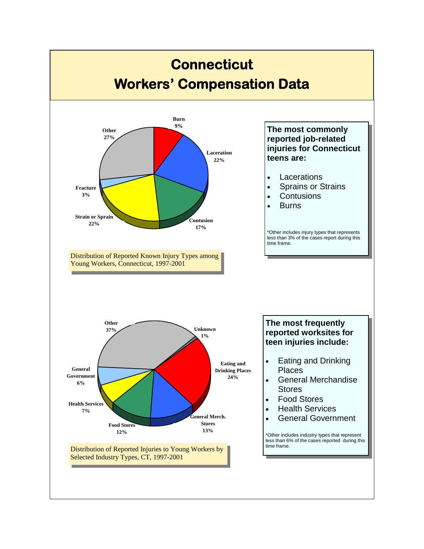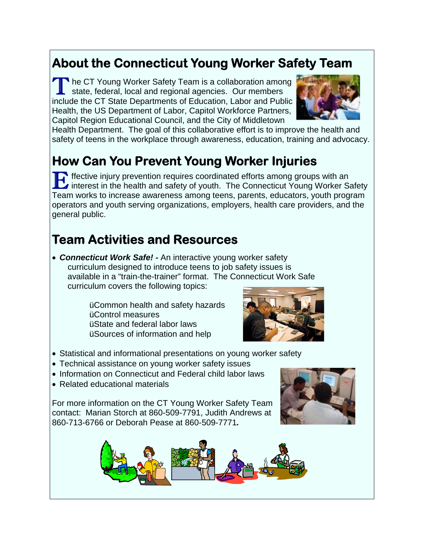# **About the Connecticut Young Worker Safety Team**

 $\blacksquare$  he CT Young Worker Safety Team is a collaboration among state, federal, local and regional agencies. Our members include the CT State Departments of Education, Labor and Public Health, the US Department of Labor, Capitol Workforce Partners, Capitol Region Educational Council, and the City of Middletown



Health Department. The goal of this collaborative effort is to improve the health and safety of teens in the workplace through awareness, education, training and advocacy.

# **How Can You Prevent Young Worker Injuries**

**Effective injury prevention requires coordinated efforts among groups with an**<br>interest in the health and safety of youth. The Connecticut Young Worker Safety Team works to increase awareness among teens, parents, educators, youth program operators and youth serving organizations, employers, health care providers, and the general public.

# **Team Activities and Resources**

• *Connecticut Work Safe! -* An interactive young worker safety curriculum designed to introduce teens to job safety issues is available in a "train-the-trainer" format. The Connecticut Work Safe curriculum covers the following topics:

> üCommon health and safety hazards üControl measures üState and federal labor laws üSources of information and help



- Statistical and informational presentations on young worker safety
- Technical assistance on young worker safety issues
- Information on Connecticut and Federal child labor laws
- Related educational materials

For more information on the CT Young Worker Safety Team contact: Marian Storch at 860-509-7791, Judith Andrews at 860-713-6766 or Deborah Pease at 860-509-7771*.*